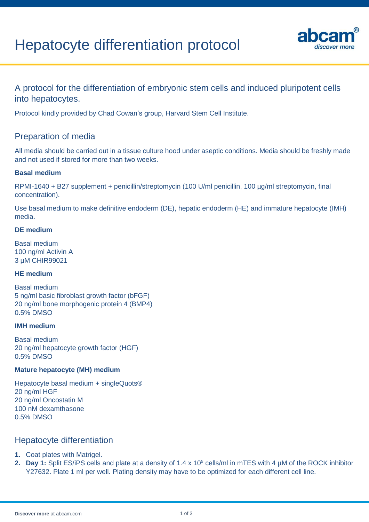# Hepatocyte differentiation protocol



## A protocol for the differentiation of embryonic stem cells and induced pluripotent cells into hepatocytes.

Protocol kindly provided by Chad Cowan's group, Harvard Stem Cell Institute.

## Preparation of media

All media should be carried out in a tissue culture hood under aseptic conditions. Media should be freshly made and not used if stored for more than two weeks.

#### **Basal medium**

RPMI-1640 + B27 supplement + penicillin/streptomycin (100 U/ml penicillin, 100 µg/ml streptomycin, final concentration).

Use basal medium to make definitive endoderm (DE), hepatic endoderm (HE) and immature hepatocyte (IMH) media.

#### **DE medium**

Basal medium 100 ng/ml Activin A 3 µM CHIR99021

#### **HE medium**

Basal medium 5 ng/ml basic fibroblast growth factor (bFGF) 20 ng/ml bone morphogenic protein 4 (BMP4) 0.5% DMSO

#### **IMH medium**

Basal medium 20 ng/ml hepatocyte growth factor (HGF) 0.5% DMSO

#### **Mature hepatocyte (MH) medium**

Hepatocyte basal medium + singleQuots® 20 ng/ml HGF 20 ng/ml Oncostatin M 100 nM dexamthasone 0.5% DMSO

### Hepatocyte differentiation

- **1.** Coat plates with Matrigel.
- **2. Day 1:** Split ES/iPS cells and plate at a density of 1.4 x 10<sup>5</sup> cells/ml in mTES with 4 µM of the ROCK inhibitor Y27632. Plate 1 ml per well. Plating density may have to be optimized for each different cell line.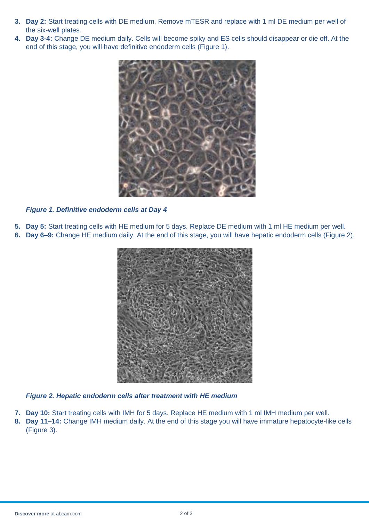- **3. Day 2:** Start treating cells with DE medium. Remove mTESR and replace with 1 ml DE medium per well of the six-well plates.
- **4. Day 3-4:** Change DE medium daily. Cells will become spiky and ES cells should disappear or die off. At the end of this stage, you will have definitive endoderm cells (Figure 1).



*Figure 1. Definitive endoderm cells at Day 4*

- **5. Day 5:** Start treating cells with HE medium for 5 days. Replace DE medium with 1 ml HE medium per well.
- **6. Day 6–9:** Change HE medium daily. At the end of this stage, you will have hepatic endoderm cells (Figure 2).



*Figure 2. Hepatic endoderm cells after treatment with HE medium*

- **7. Day 10:** Start treating cells with IMH for 5 days. Replace HE medium with 1 ml IMH medium per well.
- **8. Day 11–14:** Change IMH medium daily. At the end of this stage you will have immature hepatocyte-like cells (Figure 3).